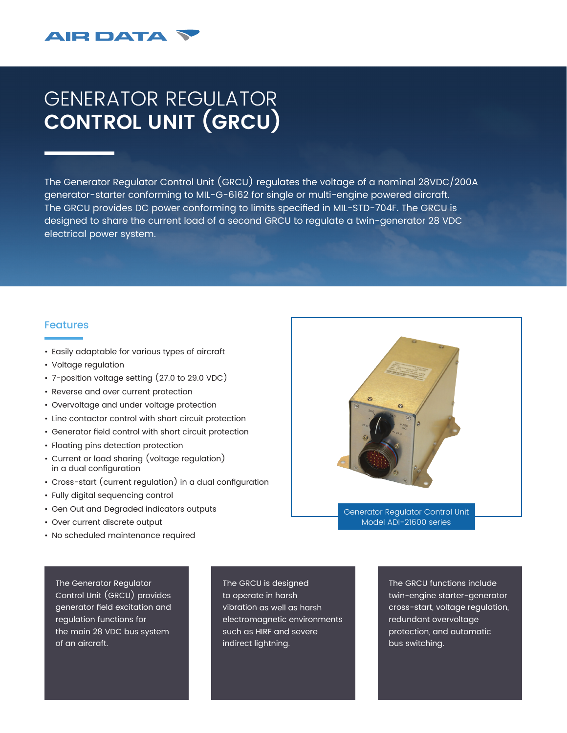## **AIR DATA**

## GENERATOR REGULATOR **CONTROL UNIT (GRCU)**

The Generator Regulator Control Unit (GRCU) regulates the voltage of a nominal 28VDC/200A generator-starter conforming to MIL-G-6162 for single or multi-engine powered aircraft. The GRCU provides DC power conforming to limits specified in MIL-STD-704F. The GRCU is designed to share the current load of a second GRCU to regulate a twin-generator 28 VDC electrical power system.

## Features

- Easily adaptable for various types of aircraft
- Voltage regulation
- 7-position voltage setting (27.0 to 29.0 VDC)
- Reverse and over current protection
- Overvoltage and under voltage protection
- Line contactor control with short circuit protection
- Generator field control with short circuit protection
- Floating pins detection protection
- Current or load sharing (voltage regulation) in a dual configuration
- Cross-start (current regulation) in a dual configuration
- Fully digital sequencing control
- Gen Out and Degraded indicators outputs
- Over current discrete output
- No scheduled maintenance required

The Generator Regulator Control Unit (GRCU) provides generator field excitation and regulation functions for the main 28 VDC bus system of an aircraft.

The GRCU is designed to operate in harsh vibration as well as harsh electromagnetic environments such as HIRF and severe indirect lightning.

The GRCU functions include twin-engine starter-generator cross-start, voltage regulation, redundant overvoltage protection, and automatic bus switching.

Generator Regulator Control Unit Model ADI-21600 series